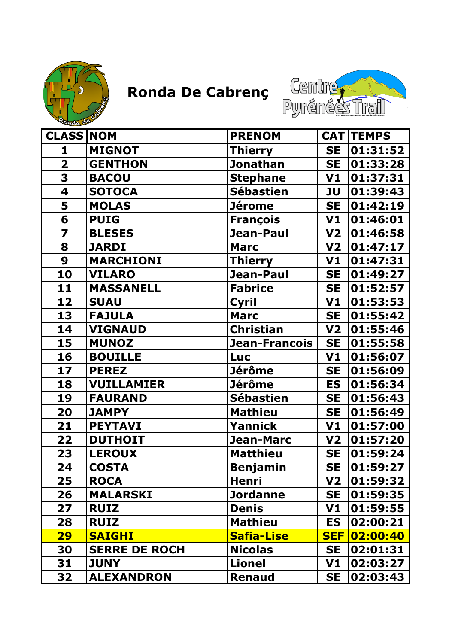



| <b>CLASS NOM</b>        |                      | <b>PRENOM</b>    |                | <b>CAT TEMPS</b> |
|-------------------------|----------------------|------------------|----------------|------------------|
| 1                       | <b>MIGNOT</b>        | <b>Thierry</b>   | <b>SE</b>      | 01:31:52         |
| $\overline{\mathbf{2}}$ | <b>GENTHON</b>       | <b>Jonathan</b>  | <b>SE</b>      | 01:33:28         |
| 3                       | <b>BACOU</b>         | <b>Stephane</b>  | V1             | 01:37:31         |
| 4                       | <b>SOTOCA</b>        | <b>Sébastien</b> | JU             | 01:39:43         |
| 5                       | <b>MOLAS</b>         | <b>Jérome</b>    | <b>SE</b>      | 01:42:19         |
| 6                       | <b>PUIG</b>          | <b>François</b>  | V1             | 01:46:01         |
| 7                       | <b>BLESES</b>        | Jean-Paul        | V <sub>2</sub> | 01:46:58         |
| 8                       | <b>JARDI</b>         | <b>Marc</b>      | V <sub>2</sub> | 01:47:17         |
| 9                       | <b>MARCHIONI</b>     | <b>Thierry</b>   | V1             | 01:47:31         |
| 10                      | <b>VILARO</b>        | Jean-Paul        | <b>SE</b>      | 01:49:27         |
| 11                      | <b>MASSANELL</b>     | <b>Fabrice</b>   | <b>SE</b>      | 01:52:57         |
| 12                      | <b>SUAU</b>          | Cyril            | V1             | 01:53:53         |
| 13                      | <b>FAJULA</b>        | <b>Marc</b>      | <b>SE</b>      | 01:55:42         |
| 14                      | <b>VIGNAUD</b>       | <b>Christian</b> | V <sub>2</sub> | 01:55:46         |
| 15                      | <b>MUNOZ</b>         | Jean-Francois    | <b>SE</b>      | 01:55:58         |
| 16                      | <b>BOUILLE</b>       | <b>Luc</b>       | V1             | 01:56:07         |
| 17                      | <b>PEREZ</b>         | <b>Jérôme</b>    | <b>SE</b>      | 01:56:09         |
| 18                      | <b>VUILLAMIER</b>    | <b>Jérôme</b>    | <b>ES</b>      | 01:56:34         |
| 19                      | <b>FAURAND</b>       | <b>Sébastien</b> | <b>SE</b>      | 01:56:43         |
| 20                      | <b>JAMPY</b>         | <b>Mathieu</b>   | <b>SE</b>      | 01:56:49         |
| 21                      | <b>PEYTAVI</b>       | Yannick          | V <sub>1</sub> | 01:57:00         |
| 22                      | <b>DUTHOIT</b>       | <b>Jean-Marc</b> | V <sub>2</sub> | 01:57:20         |
| 23                      | <b>LEROUX</b>        | <b>Matthieu</b>  | <b>SE</b>      | 01:59:24         |
| 24                      | <b>COSTA</b>         | <b>Benjamin</b>  | <b>SE</b>      | 01:59:27         |
| 25                      | <b>ROCA</b>          | Henri            | V2             | 01:59:32         |
| 26                      | <b>MALARSKI</b>      | <b>Jordanne</b>  | <b>SE</b>      | 01:59:35         |
| 27                      | <b>RUIZ</b>          | <b>Denis</b>     | V1             | 01:59:55         |
| 28                      | <b>RUIZ</b>          | <b>Mathieu</b>   | <b>ES</b>      | 02:00:21         |
| <b>29</b>               | <b>SAIGHI</b>        | Safia-Lise       | <b>SEF</b>     | 02:00:40         |
| 30                      | <b>SERRE DE ROCH</b> | <b>Nicolas</b>   | <b>SE</b>      | 02:01:31         |
| 31                      | <b>JUNY</b>          | <b>Lionel</b>    | V1             | 02:03:27         |
| 32                      | <b>ALEXANDRON</b>    | <b>Renaud</b>    | <b>SE</b>      | 02:03:43         |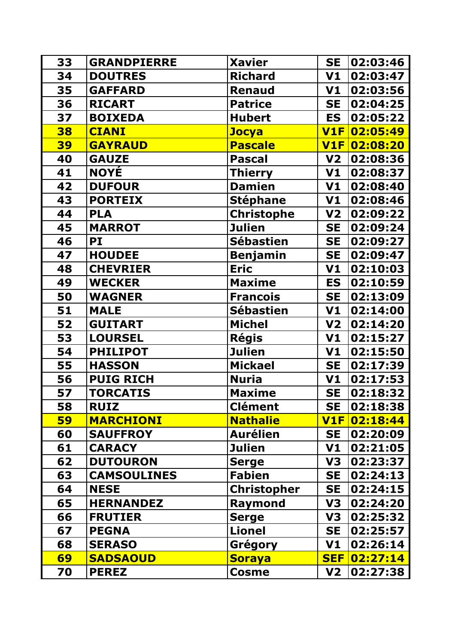| 33        | <b>GRANDPIERRE</b> | <b>Xavier</b>      | <b>SE</b>      | 02:03:46     |
|-----------|--------------------|--------------------|----------------|--------------|
| 34        | <b>DOUTRES</b>     | <b>Richard</b>     | V1             | 02:03:47     |
| 35        | <b>GAFFARD</b>     | <b>Renaud</b>      | V1             | 02:03:56     |
| 36        | <b>RICART</b>      | <b>Patrice</b>     | <b>SE</b>      | 02:04:25     |
| 37        | <b>BOIXEDA</b>     | <b>Hubert</b>      | <b>ES</b>      | 02:05:22     |
| 38        | <b>CIANI</b>       | <b>Jocya</b>       | V1F            | 02:05:49     |
| <b>39</b> | <b>GAYRAUD</b>     | <b>Pascale</b>     | V1F            | 02:08:20     |
| 40        | <b>GAUZE</b>       | <b>Pascal</b>      | V <sub>2</sub> | 02:08:36     |
| 41        | <b>NOYÉ</b>        | <b>Thierry</b>     | V1             | 02:08:37     |
| 42        | <b>DUFOUR</b>      | <b>Damien</b>      | V1             | 02:08:40     |
| 43        | <b>PORTEIX</b>     | <b>Stéphane</b>    | V1             | 02:08:46     |
| 44        | <b>PLA</b>         | <b>Christophe</b>  | V <sub>2</sub> | 02:09:22     |
| 45        | <b>MARROT</b>      | <b>Julien</b>      | <b>SE</b>      | 02:09:24     |
| 46        | PI                 | <b>Sébastien</b>   | <b>SE</b>      | 02:09:27     |
| 47        | <b>HOUDEE</b>      | <b>Benjamin</b>    | <b>SE</b>      | 02:09:47     |
| 48        | <b>CHEVRIER</b>    | <b>Eric</b>        | V1             | 02:10:03     |
| 49        | <b>WECKER</b>      | <b>Maxime</b>      | <b>ES</b>      | 02:10:59     |
| 50        | <b>WAGNER</b>      | <b>Francois</b>    | <b>SE</b>      | 02:13:09     |
| 51        | <b>MALE</b>        | <b>Sébastien</b>   | V1             | 02:14:00     |
| 52        | <b>GUITART</b>     | <b>Michel</b>      | V <sub>2</sub> | 02:14:20     |
| 53        | <b>LOURSEL</b>     | <b>Régis</b>       | V1             | 02:15:27     |
| 54        | <b>PHILIPOT</b>    | <b>Julien</b>      | V1             | 02:15:50     |
| 55        | <b>HASSON</b>      | <b>Mickael</b>     | <b>SE</b>      | 02:17:39     |
| 56        | <b>PUIG RICH</b>   | <b>Nuria</b>       | V1             | 02:17:53     |
| 57        | <b>TORCATIS</b>    | <b>Maxime</b>      | <b>SE</b>      | 02:18:32     |
| 58        | <b>RUIZ</b>        | <b>Clément</b>     | <b>SE</b>      | 02:18:38     |
| <b>59</b> | <b>MARCHIONI</b>   | <b>Nathalie</b>    |                | V1F 02:18:44 |
| 60        | <b>SAUFFROY</b>    | <b>Aurélien</b>    | <b>SE</b>      | 02:20:09     |
| 61        | <b>CARACY</b>      | <b>Julien</b>      | V1             | 02:21:05     |
| 62        | <b>DUTOURON</b>    | <b>Serge</b>       | V3             | 02:23:37     |
| 63        | <b>CAMSOULINES</b> | <b>Fabien</b>      | <b>SE</b>      | 02:24:13     |
| 64        | <b>NESE</b>        | <b>Christopher</b> | <b>SE</b>      | 02:24:15     |
| 65        | <b>HERNANDEZ</b>   | Raymond            | V <sub>3</sub> | 02:24:20     |
| 66        | <b>FRUTIER</b>     | <b>Serge</b>       | V3             | 02:25:32     |
| 67        | <b>PEGNA</b>       | <b>Lionel</b>      | <b>SE</b>      | 02:25:57     |
| 68        | <b>SERASO</b>      | Grégory            | V1             | 02:26:14     |
| 69        | <b>SADSAOUD</b>    | <b>Soraya</b>      | <b>SEF</b>     | 02:27:14     |
| 70        | <b>PEREZ</b>       | <b>Cosme</b>       | V <sub>2</sub> | 02:27:38     |